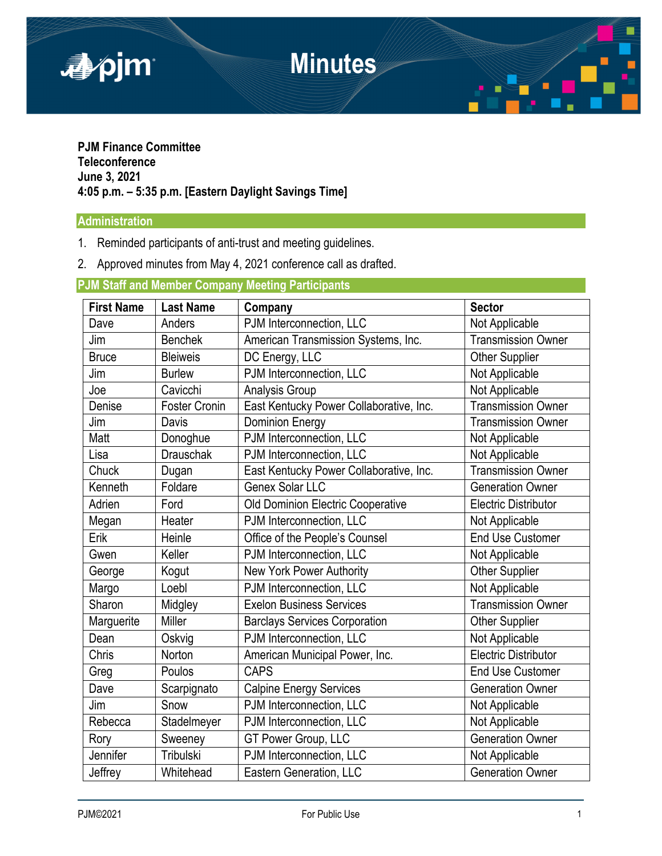

## **PJM Finance Committee Teleconference June 3, 2021 4:05 p.m. – 5:35 p.m. [Eastern Daylight Savings Time]**

# **Administration**

- 1. Reminded participants of anti-trust and meeting guidelines.
- 2. Approved minutes from May 4, 2021 conference call as drafted.

# **PJM Staff and Member Company Meeting Participants**

| <b>First Name</b> | <b>Last Name</b>     | Company                                 | <b>Sector</b>               |
|-------------------|----------------------|-----------------------------------------|-----------------------------|
| Dave              | Anders               | PJM Interconnection, LLC                | Not Applicable              |
| Jim               | <b>Benchek</b>       | American Transmission Systems, Inc.     | <b>Transmission Owner</b>   |
| <b>Bruce</b>      | <b>Bleiweis</b>      | DC Energy, LLC                          | <b>Other Supplier</b>       |
| Jim               | <b>Burlew</b>        | PJM Interconnection, LLC                | Not Applicable              |
| Joe               | Cavicchi             | Analysis Group                          | Not Applicable              |
| Denise            | <b>Foster Cronin</b> | East Kentucky Power Collaborative, Inc. | Transmission Owner          |
| Jim               | Davis                | <b>Dominion Energy</b>                  | <b>Transmission Owner</b>   |
| Matt              | Donoghue             | PJM Interconnection, LLC                | Not Applicable              |
| Lisa              | <b>Drauschak</b>     | PJM Interconnection, LLC                | Not Applicable              |
| Chuck             | Dugan                | East Kentucky Power Collaborative, Inc. | <b>Transmission Owner</b>   |
| Kenneth           | Foldare              | Genex Solar LLC                         | <b>Generation Owner</b>     |
| Adrien            | Ford                 | Old Dominion Electric Cooperative       | <b>Electric Distributor</b> |
| Megan             | Heater               | PJM Interconnection, LLC                | Not Applicable              |
| Erik              | Heinle               | Office of the People's Counsel          | <b>End Use Customer</b>     |
| Gwen              | Keller               | PJM Interconnection, LLC                | Not Applicable              |
| George            | Kogut                | New York Power Authority                | Other Supplier              |
| Margo             | Loebl                | PJM Interconnection, LLC                | Not Applicable              |
| Sharon            | Midgley              | <b>Exelon Business Services</b>         | <b>Transmission Owner</b>   |
| Marguerite        | Miller               | <b>Barclays Services Corporation</b>    | Other Supplier              |
| Dean              | Oskvig               | PJM Interconnection, LLC                | Not Applicable              |
| Chris             | Norton               | American Municipal Power, Inc.          | Electric Distributor        |
| Greg              | Poulos               | <b>CAPS</b>                             | <b>End Use Customer</b>     |
| Dave              | Scarpignato          | <b>Calpine Energy Services</b>          | <b>Generation Owner</b>     |
| Jim               | Snow                 | PJM Interconnection, LLC                | Not Applicable              |
| Rebecca           | Stadelmeyer          | PJM Interconnection, LLC                | Not Applicable              |
| Rory              | Sweeney              | GT Power Group, LLC                     | <b>Generation Owner</b>     |
| Jennifer          | Tribulski            | PJM Interconnection, LLC                | Not Applicable              |
| Jeffrey           | Whitehead            | Eastern Generation, LLC                 | <b>Generation Owner</b>     |